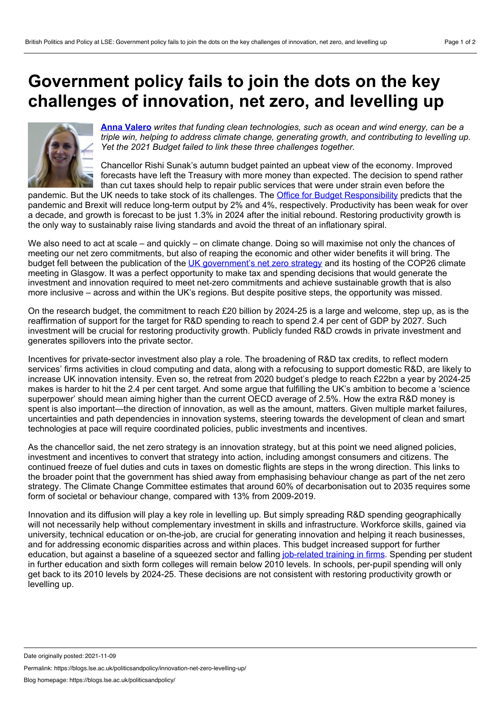## <span id="page-0-0"></span>**Government policy fails to join the dots on the key challenges of innovation, net zero, and levelling up**



**Anna [Valero](#page-0-0)** *writes that funding clean technologies, such as ocean and wind energy, can be a triple win, helping to address climate change, generating growth, and contributing to levelling up. Yet the 2021 Budget failed to link these three challenges together.*

Chancellor Rishi Sunak's autumn budget painted an upbeat view of the economy. Improved forecasts have left the Treasury with more money than expected. The decision to spend rather than cut taxes should help to repair public services that were under strain even before the

pandemic. But the UK needs to take stock of its challenges. The Office for Budget [Responsibility](https://obr.uk/efo/economic-and-fiscal-outlook-october-2021/) predicts that the pandemic and Brexit will reduce long-term output by 2% and 4%, respectively. Productivity has been weak for over a decade, and growth is forecast to be just 1.3% in 2024 after the initial rebound. Restoring productivity growth is the only way to sustainably raise living standards and avoid the threat of an inflationary spiral.

We also need to act at scale – and quickly – on climate change. Doing so will maximise not only the chances of meeting our net zero commitments, but also of reaping the economic and other wider benefits it will bring. The budget fell between the publication of the UK [government's](https://www.gov.uk/government/publications/net-zero-strategy) net zero strategy and its hosting of the COP26 climate meeting in Glasgow. It was a perfect opportunity to make tax and spending decisions that would generate the investment and innovation required to meet net-zero commitments and achieve sustainable growth that is also more inclusive – across and within the UK's regions. But despite positive steps, the opportunity was missed.

On the research budget, the commitment to reach £20 billion by 2024-25 is a large and welcome, step up, as is the reaffirmation of support for the target for R&D spending to reach to spend 2.4 per cent of GDP by 2027. Such investment will be crucial for restoring productivity growth. Publicly funded R&D crowds in private investment and generates spillovers into the private sector.

Incentives for private-sector investment also play a role. The broadening of R&D tax credits, to reflect modern services' firms activities in cloud computing and data, along with a refocusing to support domestic R&D, are likely to increase UK innovation intensity. Even so, the retreat from 2020 budget's pledge to reach £22bn a year by 2024-25 makes is harder to hit the 2.4 per cent target. And some argue that fulfilling the UK's ambition to become a 'science superpower' should mean aiming higher than the current OECD average of 2.5%. How the extra R&D money is spent is also important—the direction of innovation, as well as the amount, matters. Given multiple market failures, uncertainties and path dependencies in innovation systems, steering towards the development of clean and smart technologies at pace will require coordinated policies, public investments and incentives.

As the chancellor said, the net zero strategy is an innovation strategy, but at this point we need aligned policies, investment and incentives to convert that strategy into action, including amongst consumers and citizens. The continued freeze of fuel duties and cuts in taxes on domestic flights are steps in the wrong direction. This links to the broader point that the government has shied away from emphasising behaviour change as part of the net zero strategy. The Climate Change Committee estimates that around 60% of decarbonisation out to 2035 requires some form of societal or behaviour change, compared with 13% from 2009-2019.

Innovation and its diffusion will play a key role in levelling up. But simply spreading R&D spending geographically will not necessarily help without complementary investment in skills and infrastructure. Workforce skills, gained via university, technical education or on-the-job, are crucial for generating innovation and helping it reach businesses, and for addressing economic disparities across and within places. This budget increased support for further education, but against a baseline of a squeezed sector and falling [job-related](https://cver.lse.ac.uk/textonly/cver/pubs/cverdp033.pdf) training in firms. Spending per student in further education and sixth form colleges will remain below 2010 levels. In schools, per-pupil spending will only get back to its 2010 levels by 2024-25. These decisions are not consistent with restoring productivity growth or levelling up.

Permalink: https://blogs.lse.ac.uk/politicsandpolicy/innovation-net-zero-levelling-up/

Date originally posted: 2021-11-09